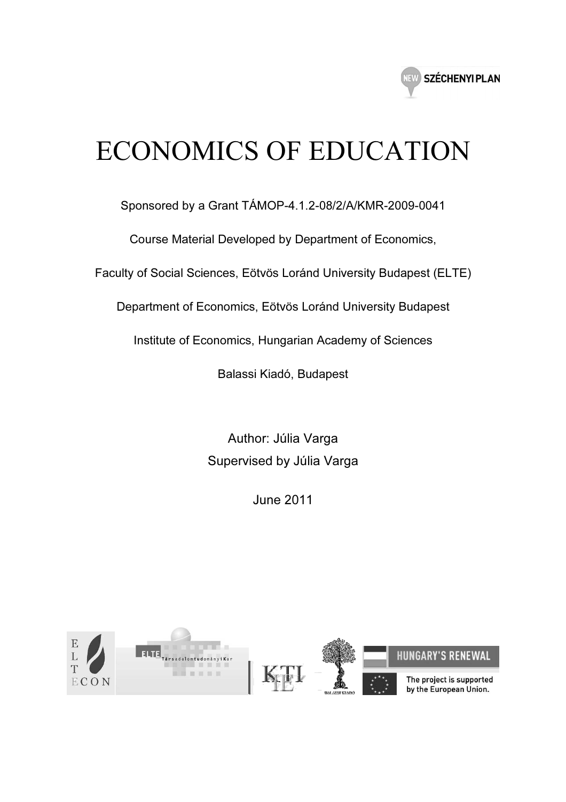

# ECONOMICS OF EDUCATION

Sponsored by a Grant TÁMOP-4.1.2-08/2/A/KMR-2009-0041

Course Material Developed by Department of Economics,

Faculty of Social Sciences, Eötvös Loránd University Budapest (ELTE)

Department of Economics, Eötvös Loránd University Budapest

Institute of Economics, Hungarian Academy of Sciences

Balassi Kiadó, Budapest

Author: Júlia Varga Supervised by Júlia Varga

June 2011

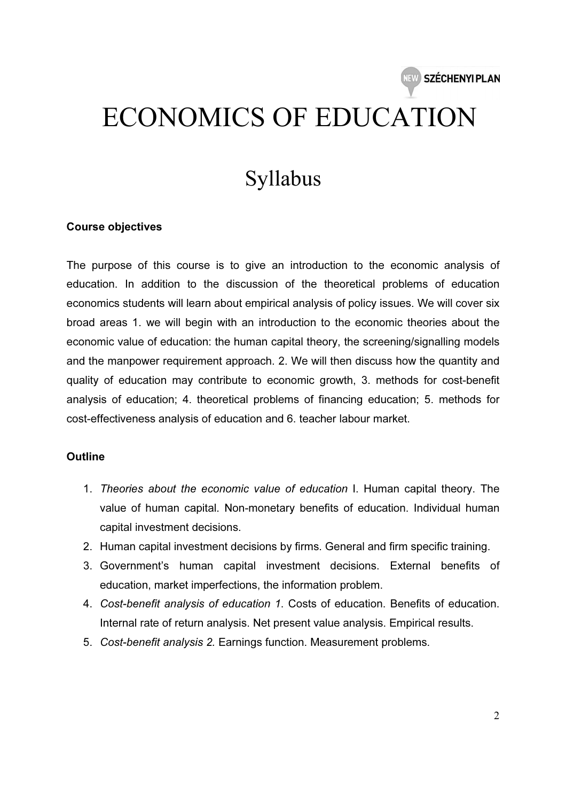# ECONOMICS OF EDUCATION

## Syllabus

#### Course objectives

The purpose of this course is to give an introduction to the economic analysis of education. In addition to the discussion of the theoretical problems of education economics students will learn about empirical analysis of policy issues. We will cover six broad areas 1. we will begin with an introduction to the economic theories about the economic value of education: the human capital theory, the screening/signalling models and the manpower requirement approach. 2. We will then discuss how the quantity and quality of education may contribute to economic growth, 3. methods for cost-benefit analysis of education; 4. theoretical problems of financing education; 5. methods for cost-effectiveness analysis of education and 6. teacher labour market.

#### **Outline**

- 1. Theories about the economic value of education I. Human capital theory. The value of human capital. Non-monetary benefits of education. Individual human capital investment decisions.
- 2. Human capital investment decisions by firms. General and firm specific training.
- 3. Government's human capital investment decisions. External benefits of education, market imperfections, the information problem.
- 4. Cost-benefit analysis of education 1. Costs of education. Benefits of education. Internal rate of return analysis. Net present value analysis. Empirical results.
- 5. Cost-benefit analysis 2. Earnings function. Measurement problems.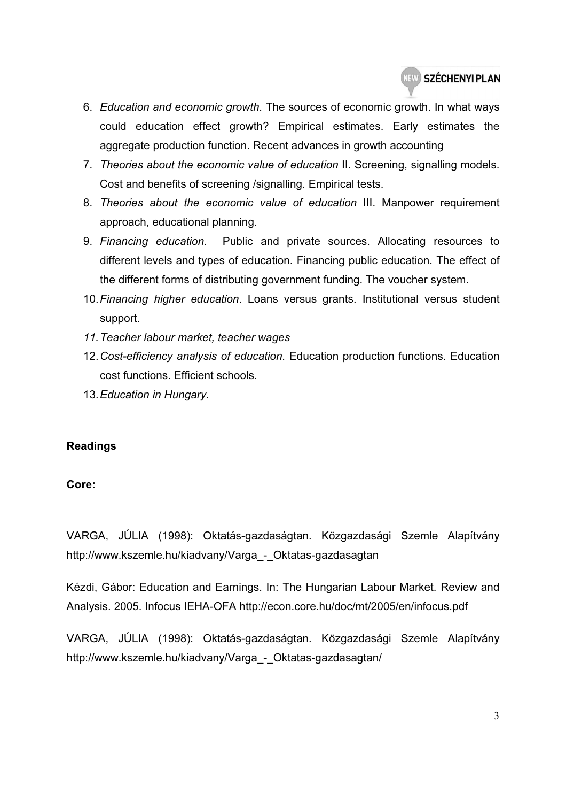- 6. Education and economic growth. The sources of economic growth. In what ways could education effect growth? Empirical estimates. Early estimates the aggregate production function. Recent advances in growth accounting
- 7. Theories about the economic value of education II. Screening, signalling models. Cost and benefits of screening /signalling. Empirical tests.
- 8. Theories about the economic value of education III. Manpower requirement approach, educational planning.
- 9. Financing education. Public and private sources. Allocating resources to different levels and types of education. Financing public education. The effect of the different forms of distributing government funding. The voucher system.
- 10. Financing higher education. Loans versus grants. Institutional versus student support.
- 11. Teacher labour market, teacher wages
- 12. Cost-efficiency analysis of education. Education production functions. Education cost functions. Efficient schools.
- 13. Education in Hungary.

### Readings

### Core:

VARGA, JÚLIA (1998): Oktatás-gazdaságtan. Közgazdasági Szemle Alapítvány http://www.kszemle.hu/kiadvany/Varga - Oktatas-gazdasagtan

Kézdi, Gábor: Education and Earnings. In: The Hungarian Labour Market. Review and Analysis. 2005. Infocus IEHA-OFA http://econ.core.hu/doc/mt/2005/en/infocus.pdf

VARGA, JÚLIA (1998): Oktatás-gazdaságtan. Közgazdasági Szemle Alapítvány http://www.kszemle.hu/kiadvany/Varga - Oktatas-gazdasagtan/